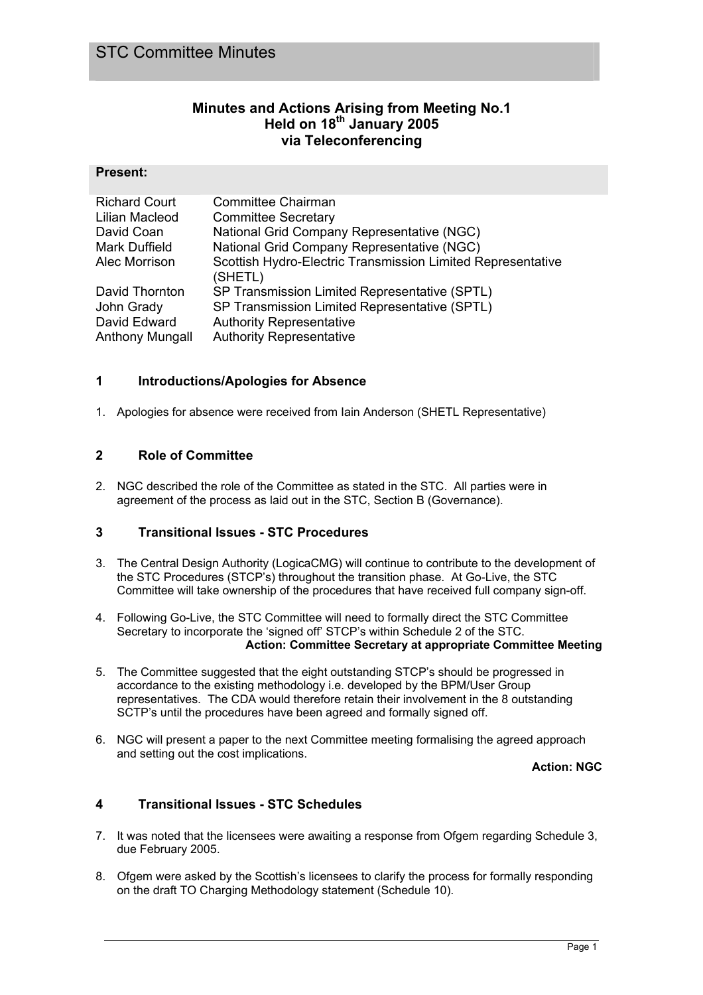## **Minutes and Actions Arising from Meeting No.1 Held on 18th January 2005 via Teleconferencing**

#### **Present:**

| <b>Richard Court</b>   | <b>Committee Chairman</b>                                   |
|------------------------|-------------------------------------------------------------|
| Lilian Macleod         | <b>Committee Secretary</b>                                  |
| David Coan             | National Grid Company Representative (NGC)                  |
| <b>Mark Duffield</b>   | National Grid Company Representative (NGC)                  |
| Alec Morrison          | Scottish Hydro-Electric Transmission Limited Representative |
|                        | (SHETL)                                                     |
| David Thornton         | SP Transmission Limited Representative (SPTL)               |
| John Grady             | SP Transmission Limited Representative (SPTL)               |
| David Edward           | <b>Authority Representative</b>                             |
| <b>Anthony Mungall</b> | <b>Authority Representative</b>                             |

### **1 Introductions/Apologies for Absence**

1. Apologies for absence were received from Iain Anderson (SHETL Representative)

### **2 Role of Committee**

2. NGC described the role of the Committee as stated in the STC. All parties were in agreement of the process as laid out in the STC, Section B (Governance).

#### **3 Transitional Issues - STC Procedures**

- 3. The Central Design Authority (LogicaCMG) will continue to contribute to the development of the STC Procedures (STCP's) throughout the transition phase. At Go-Live, the STC Committee will take ownership of the procedures that have received full company sign-off.
- 4. Following Go-Live, the STC Committee will need to formally direct the STC Committee Secretary to incorporate the 'signed off' STCP's within Schedule 2 of the STC. **Action: Committee Secretary at appropriate Committee Meeting**
- 5. The Committee suggested that the eight outstanding STCP's should be progressed in accordance to the existing methodology i.e. developed by the BPM/User Group representatives. The CDA would therefore retain their involvement in the 8 outstanding SCTP's until the procedures have been agreed and formally signed off.
- 6. NGC will present a paper to the next Committee meeting formalising the agreed approach and setting out the cost implications.

**Action: NGC**

## **4 Transitional Issues - STC Schedules**

- 7. It was noted that the licensees were awaiting a response from Ofgem regarding Schedule 3, due February 2005.
- 8. Ofgem were asked by the Scottish's licensees to clarify the process for formally responding on the draft TO Charging Methodology statement (Schedule 10).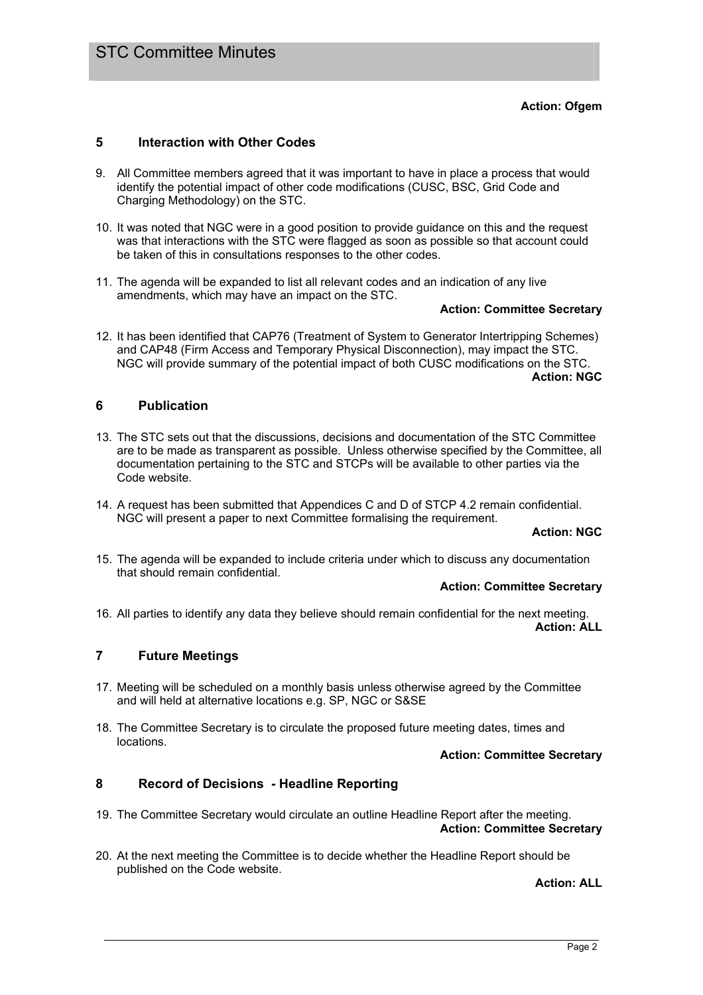## **5 Interaction with Other Codes**

- 9. All Committee members agreed that it was important to have in place a process that would identify the potential impact of other code modifications (CUSC, BSC, Grid Code and Charging Methodology) on the STC.
- 10. It was noted that NGC were in a good position to provide guidance on this and the request was that interactions with the STC were flagged as soon as possible so that account could be taken of this in consultations responses to the other codes.
- 11. The agenda will be expanded to list all relevant codes and an indication of any live amendments, which may have an impact on the STC.

#### **Action: Committee Secretary**

12. It has been identified that CAP76 (Treatment of System to Generator Intertripping Schemes) and CAP48 (Firm Access and Temporary Physical Disconnection), may impact the STC. NGC will provide summary of the potential impact of both CUSC modifications on the STC. **Action: NGC**

### **6 Publication**

- 13. The STC sets out that the discussions, decisions and documentation of the STC Committee are to be made as transparent as possible. Unless otherwise specified by the Committee, all documentation pertaining to the STC and STCPs will be available to other parties via the Code website.
- 14. A request has been submitted that Appendices C and D of STCP 4.2 remain confidential. NGC will present a paper to next Committee formalising the requirement.

#### **Action: NGC**

15. The agenda will be expanded to include criteria under which to discuss any documentation that should remain confidential.

#### **Action: Committee Secretary**

16. All parties to identify any data they believe should remain confidential for the next meeting. **Action: ALL**

# **7 Future Meetings**

- 17. Meeting will be scheduled on a monthly basis unless otherwise agreed by the Committee and will held at alternative locations e.g. SP, NGC or S&SE
- 18. The Committee Secretary is to circulate the proposed future meeting dates, times and locations.

#### **Action: Committee Secretary**

## **8 Record of Decisions - Headline Reporting**

- 19. The Committee Secretary would circulate an outline Headline Report after the meeting. **Action: Committee Secretary**
- 20. At the next meeting the Committee is to decide whether the Headline Report should be published on the Code website.

**Action: ALL**